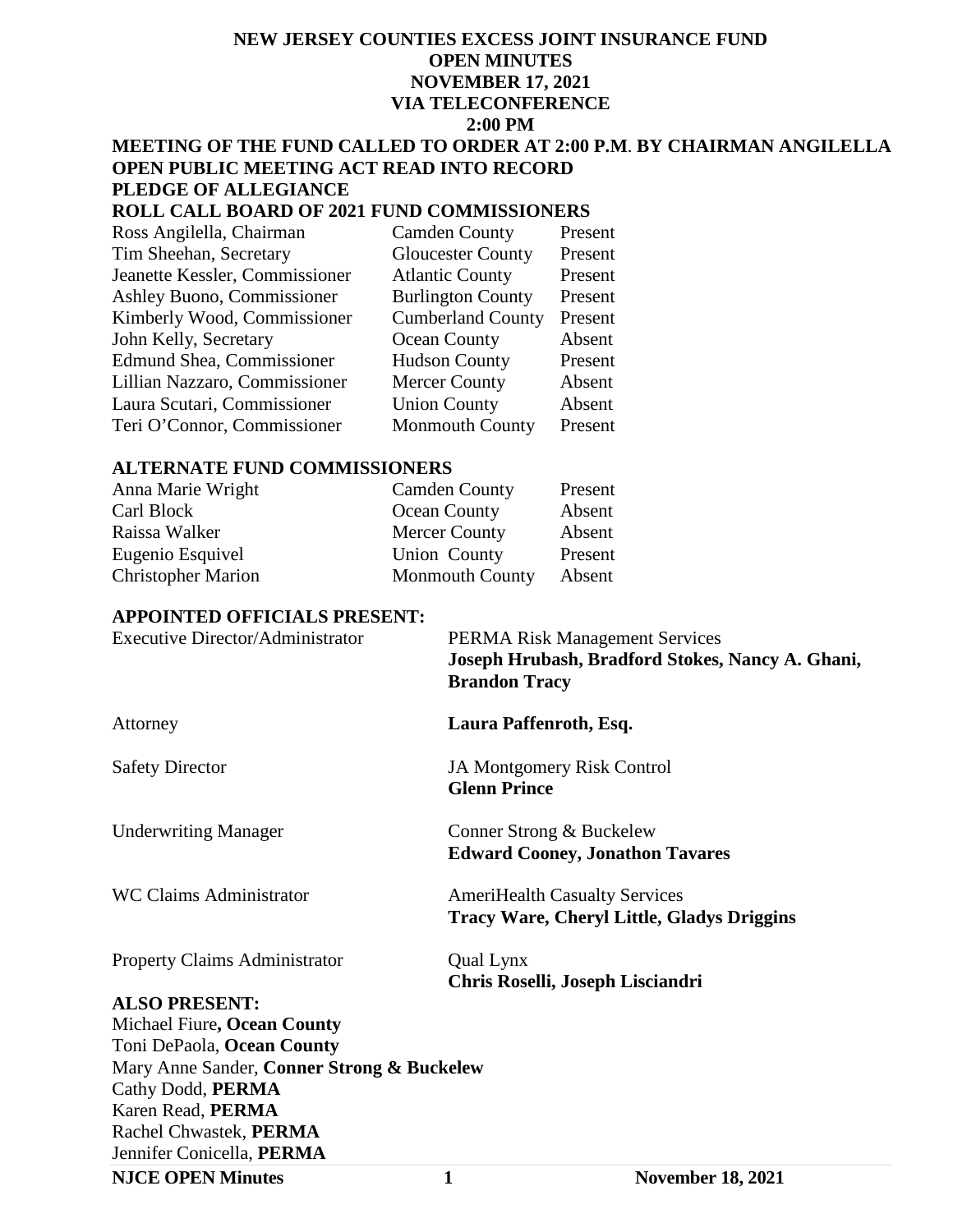# **NEW JERSEY COUNTIES EXCESS JOINT INSURANCE FUND OPEN MINUTES NOVEMBER 17, 2021 VIA TELECONFERENCE 2:00 PM**

#### **MEETING OF THE FUND CALLED TO ORDER AT 2:00 P.M**. **BY CHAIRMAN ANGILELLA OPEN PUBLIC MEETING ACT READ INTO RECORD PLEDGE OF ALLEGIANCE**

### **ROLL CALL BOARD OF 2021 FUND COMMISSIONERS**

| Ross Angilella, Chairman          | <b>Camden County</b>     | Present |
|-----------------------------------|--------------------------|---------|
| Tim Sheehan, Secretary            | <b>Gloucester County</b> | Present |
| Jeanette Kessler, Commissioner    | <b>Atlantic County</b>   | Present |
| <b>Ashley Buono, Commissioner</b> | <b>Burlington County</b> | Present |
| Kimberly Wood, Commissioner       | <b>Cumberland County</b> | Present |
| John Kelly, Secretary             | Ocean County             | Absent  |
| <b>Edmund Shea, Commissioner</b>  | <b>Hudson County</b>     | Present |
| Lillian Nazzaro, Commissioner     | <b>Mercer County</b>     | Absent  |
| Laura Scutari, Commissioner       | <b>Union County</b>      | Absent  |
| Teri O'Connor, Commissioner       | <b>Monmouth County</b>   | Present |

#### **ALTERNATE FUND COMMISSIONERS**

| Anna Marie Wright         | <b>Camden County</b>   | Present |
|---------------------------|------------------------|---------|
| Carl Block                | Ocean County           | Absent  |
| Raissa Walker             | <b>Mercer County</b>   | Absent  |
| Eugenio Esquivel          | Union County           | Present |
| <b>Christopher Marion</b> | <b>Monmouth County</b> | Absent  |

#### **APPOINTED OFFICIALS PRESENT:**

| <b>Executive Director/Administrator</b>    | <b>PERMA Risk Management Services</b><br>Joseph Hrubash, Bradford Stokes, Nancy A. Ghani,<br><b>Brandon Tracy</b> |
|--------------------------------------------|-------------------------------------------------------------------------------------------------------------------|
| Attorney                                   | Laura Paffenroth, Esq.                                                                                            |
| <b>Safety Director</b>                     | <b>JA Montgomery Risk Control</b><br><b>Glenn Prince</b>                                                          |
| <b>Underwriting Manager</b>                | Conner Strong & Buckelew<br><b>Edward Cooney, Jonathon Tavares</b>                                                |
| <b>WC Claims Administrator</b>             | <b>AmeriHealth Casualty Services</b><br><b>Tracy Ware, Cheryl Little, Gladys Driggins</b>                         |
| <b>Property Claims Administrator</b>       | Qual Lynx<br>Chris Roselli, Joseph Lisciandri                                                                     |
| <b>ALSO PRESENT:</b>                       |                                                                                                                   |
| Michael Fiure, Ocean County                |                                                                                                                   |
| Toni DePaola, Ocean County                 |                                                                                                                   |
| Mary Anne Sander, Conner Strong & Buckelew |                                                                                                                   |
| Cathy Dodd, PERMA                          |                                                                                                                   |
| Karen Read, PERMA                          |                                                                                                                   |
| Rachel Chwastek, PERMA                     |                                                                                                                   |
| Jennifer Conicella, PERMA                  |                                                                                                                   |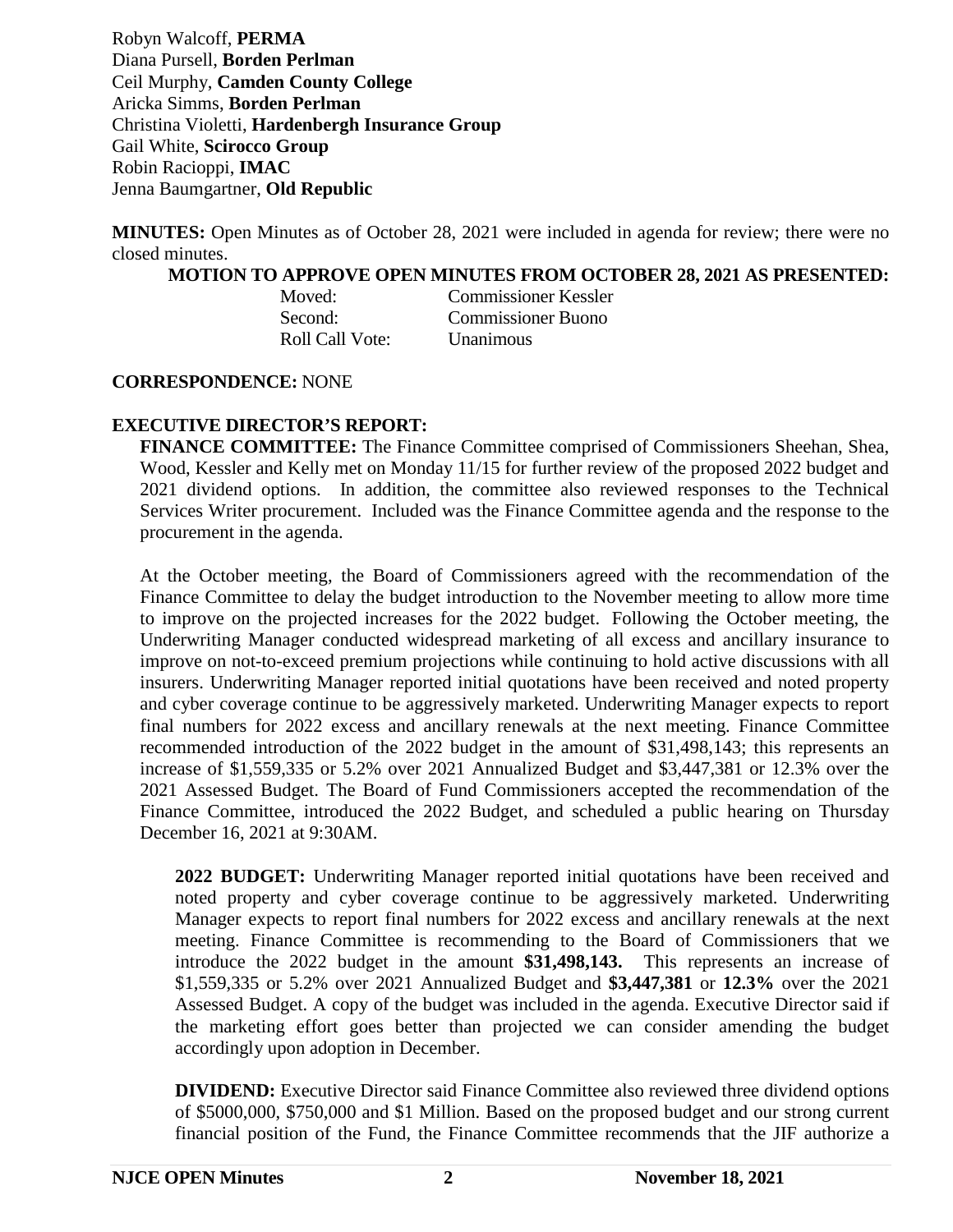Robyn Walcoff, **PERMA**  Diana Pursell, **Borden Perlman** Ceil Murphy, **Camden County College** Aricka Simms, **Borden Perlman** Christina Violetti, **Hardenbergh Insurance Group** Gail White, **Scirocco Group** Robin Racioppi, **IMAC**  Jenna Baumgartner, **Old Republic**

**MINUTES:** Open Minutes as of October 28, 2021 were included in agenda for review; there were no closed minutes.

**MOTION TO APPROVE OPEN MINUTES FROM OCTOBER 28, 2021 AS PRESENTED:**

| Moved:          | <b>Commissioner Kessler</b> |
|-----------------|-----------------------------|
| Second:         | <b>Commissioner Buono</b>   |
| Roll Call Vote: | <b>Unanimous</b>            |

#### **CORRESPONDENCE:** NONE

## **EXECUTIVE DIRECTOR'S REPORT:**

**FINANCE COMMITTEE:** The Finance Committee comprised of Commissioners Sheehan, Shea, Wood, Kessler and Kelly met on Monday 11/15 for further review of the proposed 2022 budget and 2021 dividend options. In addition, the committee also reviewed responses to the Technical Services Writer procurement. Included was the Finance Committee agenda and the response to the procurement in the agenda.

At the October meeting, the Board of Commissioners agreed with the recommendation of the Finance Committee to delay the budget introduction to the November meeting to allow more time to improve on the projected increases for the 2022 budget. Following the October meeting, the Underwriting Manager conducted widespread marketing of all excess and ancillary insurance to improve on not-to-exceed premium projections while continuing to hold active discussions with all insurers. Underwriting Manager reported initial quotations have been received and noted property and cyber coverage continue to be aggressively marketed. Underwriting Manager expects to report final numbers for 2022 excess and ancillary renewals at the next meeting. Finance Committee recommended introduction of the 2022 budget in the amount of \$31,498,143; this represents an increase of \$1,559,335 or 5.2% over 2021 Annualized Budget and \$3,447,381 or 12.3% over the 2021 Assessed Budget. The Board of Fund Commissioners accepted the recommendation of the Finance Committee, introduced the 2022 Budget, and scheduled a public hearing on Thursday December 16, 2021 at 9:30AM.

**2022 BUDGET:** Underwriting Manager reported initial quotations have been received and noted property and cyber coverage continue to be aggressively marketed. Underwriting Manager expects to report final numbers for 2022 excess and ancillary renewals at the next meeting. Finance Committee is recommending to the Board of Commissioners that we introduce the 2022 budget in the amount **\$31,498,143.** This represents an increase of \$1,559,335 or 5.2% over 2021 Annualized Budget and **\$3,447,381** or **12.3%** over the 2021 Assessed Budget. A copy of the budget was included in the agenda. Executive Director said if the marketing effort goes better than projected we can consider amending the budget accordingly upon adoption in December.

**DIVIDEND:** Executive Director said Finance Committee also reviewed three dividend options of \$5000,000, \$750,000 and \$1 Million. Based on the proposed budget and our strong current financial position of the Fund, the Finance Committee recommends that the JIF authorize a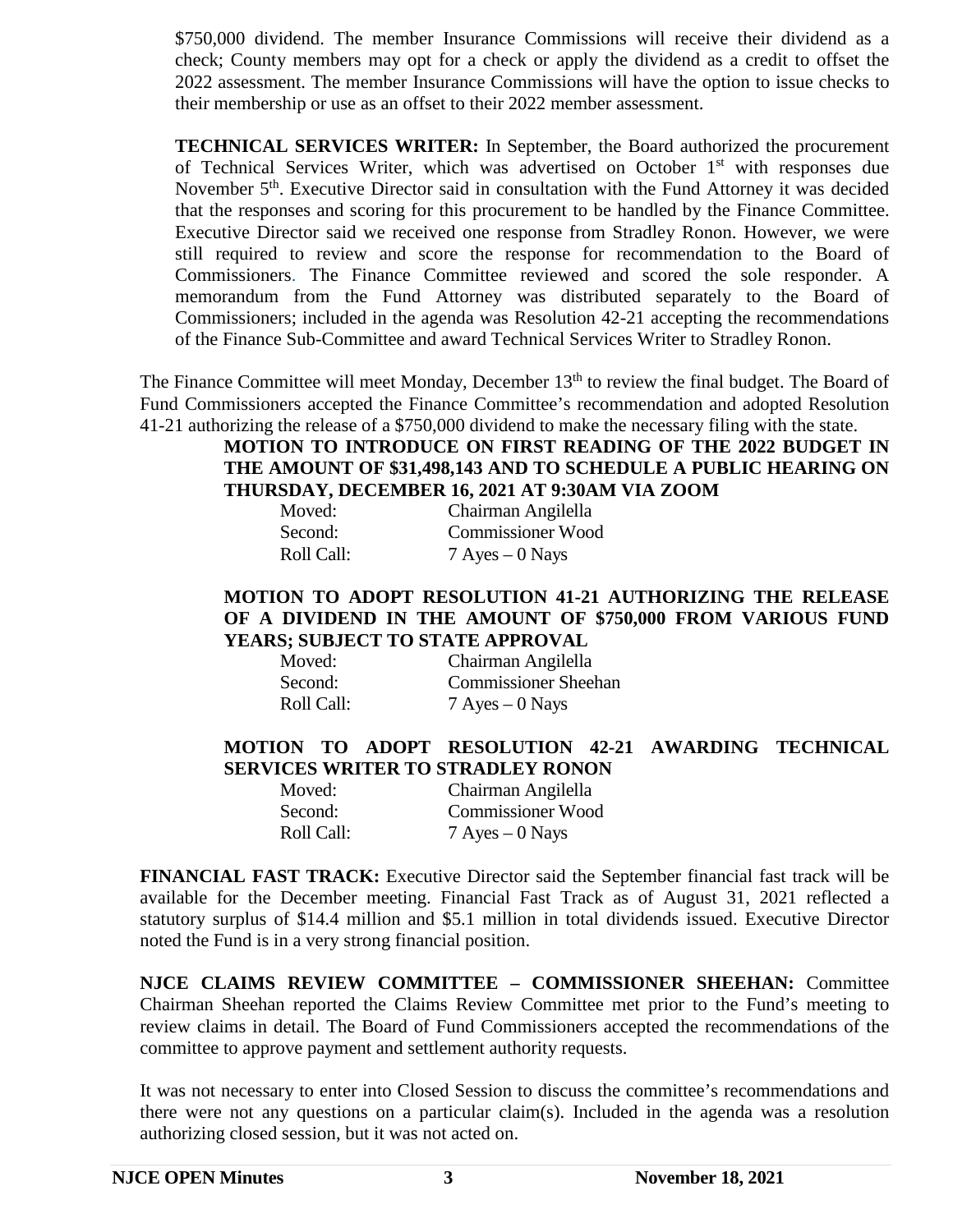\$750,000 dividend. The member Insurance Commissions will receive their dividend as a check; County members may opt for a check or apply the dividend as a credit to offset the 2022 assessment. The member Insurance Commissions will have the option to issue checks to their membership or use as an offset to their 2022 member assessment.

**TECHNICAL SERVICES WRITER:** In September, the Board authorized the procurement of Technical Services Writer, which was advertised on October 1<sup>st</sup> with responses due November 5<sup>th</sup>. Executive Director said in consultation with the Fund Attorney it was decided that the responses and scoring for this procurement to be handled by the Finance Committee. Executive Director said we received one response from Stradley Ronon. However, we were still required to review and score the response for recommendation to the Board of Commissioners. The Finance Committee reviewed and scored the sole responder. A memorandum from the Fund Attorney was distributed separately to the Board of Commissioners; included in the agenda was Resolution 42-21 accepting the recommendations of the Finance Sub-Committee and award Technical Services Writer to Stradley Ronon.

The Finance Committee will meet Monday, December 13<sup>th</sup> to review the final budget. The Board of Fund Commissioners accepted the Finance Committee's recommendation and adopted Resolution 41-21 authorizing the release of a \$750,000 dividend to make the necessary filing with the state.

## **MOTION TO INTRODUCE ON FIRST READING OF THE 2022 BUDGET IN THE AMOUNT OF \$31,498,143 AND TO SCHEDULE A PUBLIC HEARING ON THURSDAY, DECEMBER 16, 2021 AT 9:30AM VIA ZOOM**

| Moved:     | Chairman Angilella |
|------------|--------------------|
| Second:    | Commissioner Wood  |
| Roll Call: | $7$ Ayes $-0$ Nays |

### **MOTION TO ADOPT RESOLUTION 41-21 AUTHORIZING THE RELEASE OF A DIVIDEND IN THE AMOUNT OF \$750,000 FROM VARIOUS FUND YEARS; SUBJECT TO STATE APPROVAL**

| Moved:     | Chairman Angilella          |
|------------|-----------------------------|
| Second:    | <b>Commissioner Sheehan</b> |
| Roll Call: | $7$ Ayes $-0$ Nays          |

## **MOTION TO ADOPT RESOLUTION 42-21 AWARDING TECHNICAL SERVICES WRITER TO STRADLEY RONON**

| Moved:     | Chairman Angilella |
|------------|--------------------|
| Second:    | Commissioner Wood  |
| Roll Call: | $7$ Ayes $-0$ Nays |

**FINANCIAL FAST TRACK:** Executive Director said the September financial fast track will be available for the December meeting. Financial Fast Track as of August 31, 2021 reflected a statutory surplus of \$14.4 million and \$5.1 million in total dividends issued. Executive Director noted the Fund is in a very strong financial position.

**NJCE CLAIMS REVIEW COMMITTEE – COMMISSIONER SHEEHAN:** Committee Chairman Sheehan reported the Claims Review Committee met prior to the Fund's meeting to review claims in detail. The Board of Fund Commissioners accepted the recommendations of the committee to approve payment and settlement authority requests.

It was not necessary to enter into Closed Session to discuss the committee's recommendations and there were not any questions on a particular claim(s). Included in the agenda was a resolution authorizing closed session, but it was not acted on.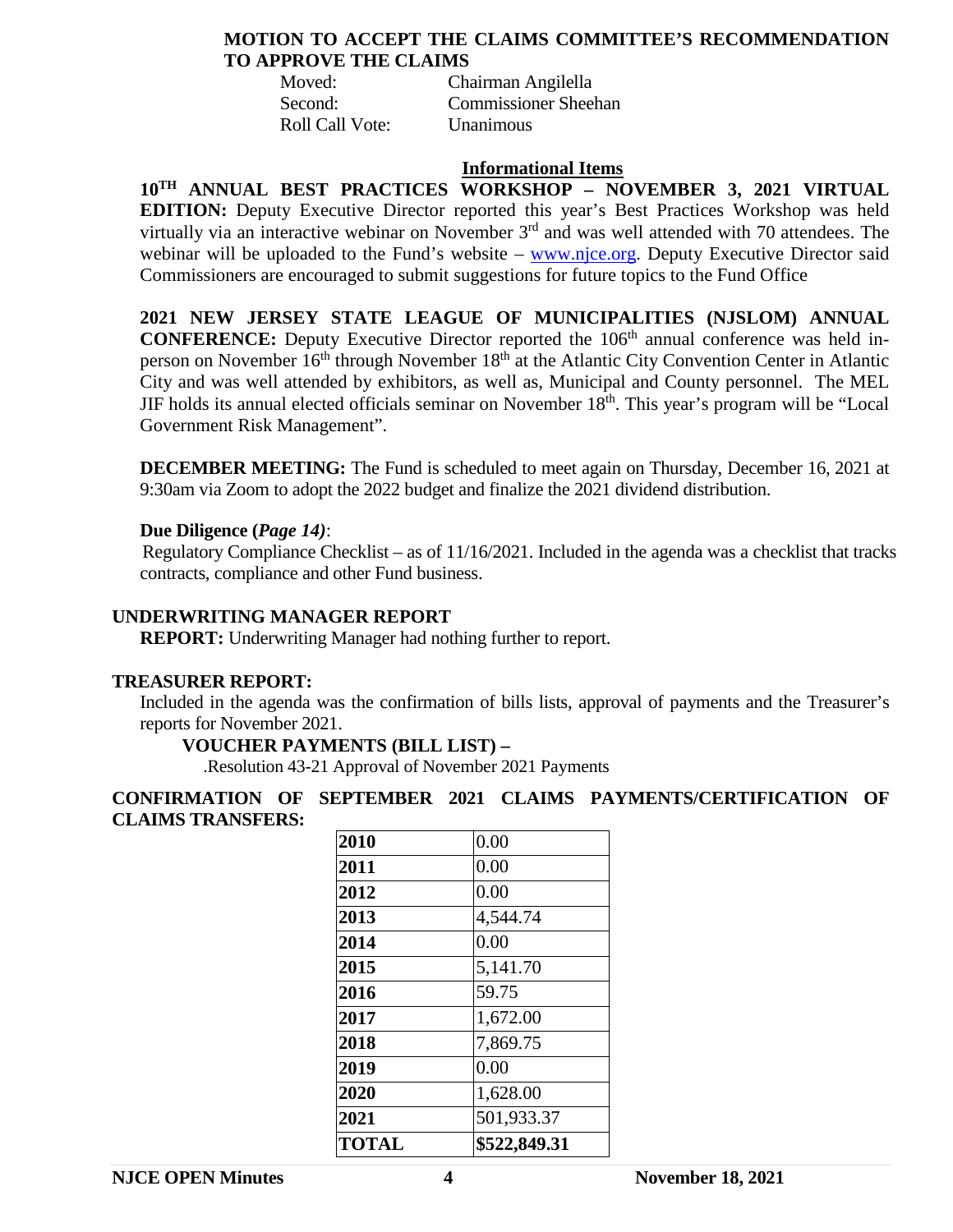### **MOTION TO ACCEPT THE CLAIMS COMMITTEE'S RECOMMENDATION TO APPROVE THE CLAIMS**

Moved: Chairman Angilella Second: Commissioner Sheehan Roll Call Vote: Unanimous

#### **Informational Items**

**10TH ANNUAL BEST PRACTICES WORKSHOP – NOVEMBER 3, 2021 VIRTUAL EDITION:** Deputy Executive Director reported this year's Best Practices Workshop was held virtually via an interactive webinar on November 3<sup>rd</sup> and was well attended with 70 attendees. The webinar will be uploaded to the Fund's website  $-\frac{www.nice.org}{www.nice.org}$ . Deputy Executive Director said Commissioners are encouraged to submit suggestions for future topics to the Fund Office

**2021 NEW JERSEY STATE LEAGUE OF MUNICIPALITIES (NJSLOM) ANNUAL CONFERENCE:** Deputy Executive Director reported the 106<sup>th</sup> annual conference was held inperson on November  $16<sup>th</sup>$  through November  $18<sup>th</sup>$  at the Atlantic City Convention Center in Atlantic City and was well attended by exhibitors, as well as, Municipal and County personnel. The MEL JIF holds its annual elected officials seminar on November  $18<sup>th</sup>$ . This year's program will be "Local Government Risk Management".

**DECEMBER MEETING:** The Fund is scheduled to meet again on Thursday, December 16, 2021 at 9:30am via Zoom to adopt the 2022 budget and finalize the 2021 dividend distribution.

### **Due Diligence (***Page 14)*:

Regulatory Compliance Checklist – as of 11/16/2021. Included in the agenda was a checklist that tracks contracts, compliance and other Fund business.

#### **UNDERWRITING MANAGER REPORT**

**REPORT:** Underwriting Manager had nothing further to report.

#### **TREASURER REPORT:**

Included in the agenda was the confirmation of bills lists, approval of payments and the Treasurer's reports for November 2021.

#### **VOUCHER PAYMENTS (BILL LIST) –**

.Resolution 43-21 Approval of November 2021 Payments

## **CONFIRMATION OF SEPTEMBER 2021 CLAIMS PAYMENTS/CERTIFICATION OF CLAIMS TRANSFERS:**

| <b>TOTAL</b> | \$522,849.31 |
|--------------|--------------|
| 2021         | 501,933.37   |
| 2020         | 1,628.00     |
| 2019         | 0.00         |
| 2018         | 7,869.75     |
| 2017         | 1,672.00     |
| 2016         | 59.75        |
| 2015         | 5,141.70     |
| 2014         | 0.00         |
| 2013         | 4,544.74     |
| 2012         | 0.00         |
| 2011         | 0.00         |
| 2010         | 0.00         |
|              |              |